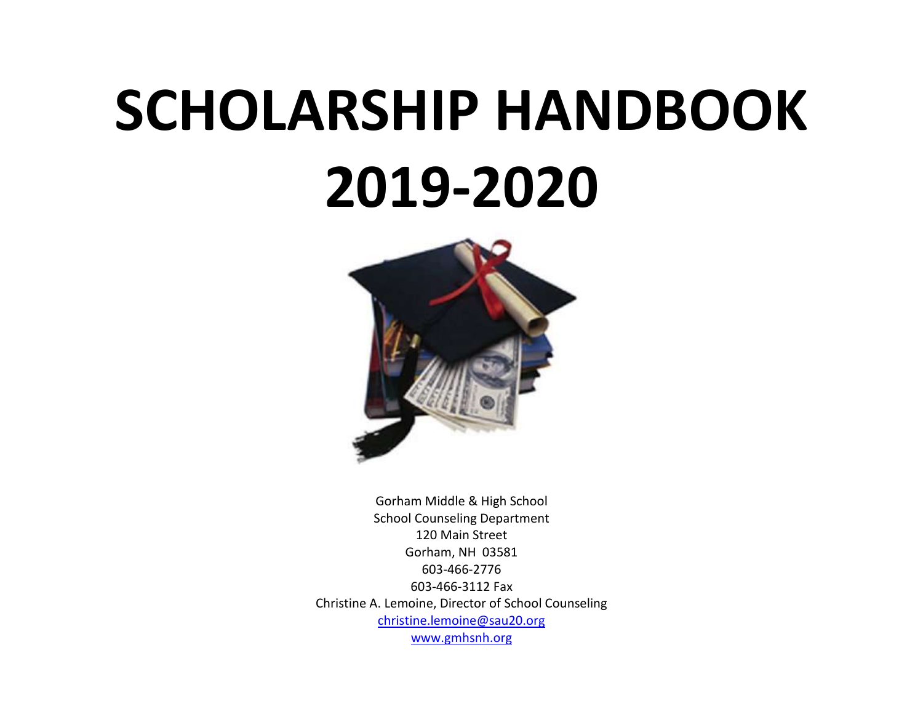# **SCHOLARSHIP HANDBOOK 2019-2020**



Gorham Middle & High School School Counseling Department 120 Main Street Gorham, NH 03581 603-466-2776 603-466-3112 Fax Christine A. Lemoine, Director of School Counseling [christine.lemoine@sau20.org](mailto:christine.lemoine@sau20.org) [www.gmhsnh.org](http://www.gmhsnh.org/)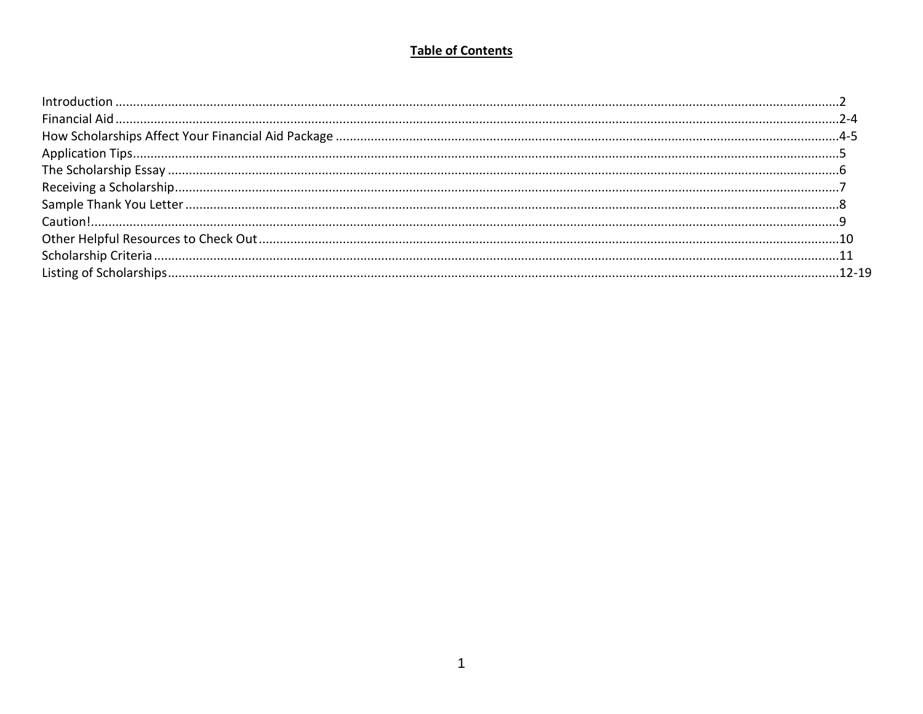# **Table of Contents**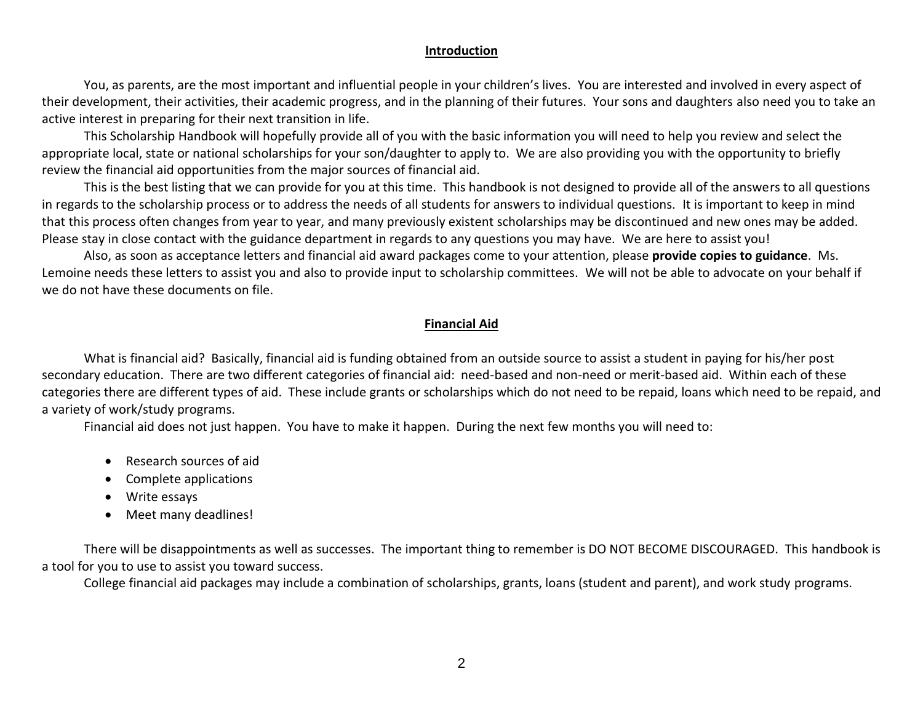#### **Introduction**

You, as parents, are the most important and influential people in your children's lives. You are interested and involved in every aspect of their development, their activities, their academic progress, and in the planning of their futures. Your sons and daughters also need you to take an active interest in preparing for their next transition in life.

This Scholarship Handbook will hopefully provide all of you with the basic information you will need to help you review and select the appropriate local, state or national scholarships for your son/daughter to apply to. We are also providing you with the opportunity to briefly review the financial aid opportunities from the major sources of financial aid.

This is the best listing that we can provide for you at this time. This handbook is not designed to provide all of the answers to all questions in regards to the scholarship process or to address the needs of all students for answers to individual questions. It is important to keep in mind that this process often changes from year to year, and many previously existent scholarships may be discontinued and new ones may be added. Please stay in close contact with the guidance department in regards to any questions you may have. We are here to assist you!

Also, as soon as acceptance letters and financial aid award packages come to your attention, please **provide copies to guidance**. Ms. Lemoine needs these letters to assist you and also to provide input to scholarship committees. We will not be able to advocate on your behalf if we do not have these documents on file.

## **Financial Aid**

What is financial aid? Basically, financial aid is funding obtained from an outside source to assist a student in paying for his/her post secondary education. There are two different categories of financial aid: need-based and non-need or merit-based aid. Within each of these categories there are different types of aid. These include grants or scholarships which do not need to be repaid, loans which need to be repaid, and a variety of work/study programs.

Financial aid does not just happen. You have to make it happen. During the next few months you will need to:

- Research sources of aid
- Complete applications
- Write essays
- Meet many deadlines!

There will be disappointments as well as successes. The important thing to remember is DO NOT BECOME DISCOURAGED. This handbook is a tool for you to use to assist you toward success.

College financial aid packages may include a combination of scholarships, grants, loans (student and parent), and work study programs.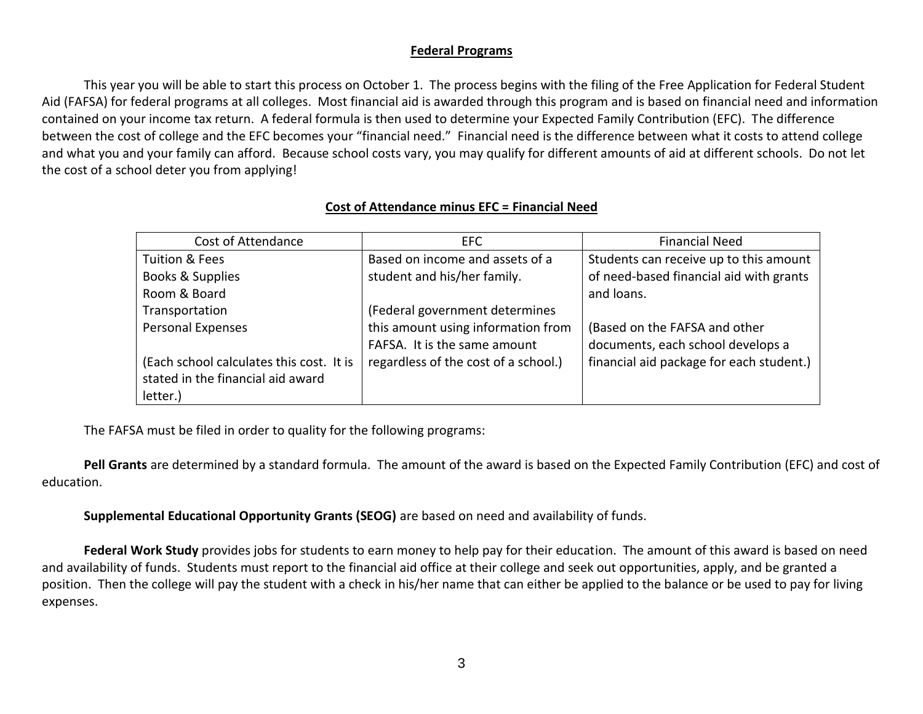## **Federal Programs**

This year you will be able to start this process on October 1. The process begins with the filing of the Free Application for Federal Student Aid (FAFSA) for federal programs at all colleges. Most financial aid is awarded through this program and is based on financial need and information contained on your income tax return. A federal formula is then used to determine your Expected Family Contribution (EFC). The difference between the cost of college and the EFC becomes your "financial need." Financial need is the difference between what it costs to attend college and what you and your family can afford. Because school costs vary, you may qualify for different amounts of aid at different schools. Do not let the cost of a school deter you from applying!

## **Cost of Attendance minus EFC = Financial Need**

| Cost of Attendance                       | EFC                                  | <b>Financial Need</b>                    |
|------------------------------------------|--------------------------------------|------------------------------------------|
| Tuition & Fees                           | Based on income and assets of a      | Students can receive up to this amount   |
| Books & Supplies                         | student and his/her family.          | of need-based financial aid with grants  |
| Room & Board                             |                                      | and loans.                               |
| Transportation                           | (Federal government determines       |                                          |
| Personal Expenses                        | this amount using information from   | (Based on the FAFSA and other            |
|                                          | FAFSA. It is the same amount         | documents, each school develops a        |
| (Each school calculates this cost. It is | regardless of the cost of a school.) | financial aid package for each student.) |
| stated in the financial aid award        |                                      |                                          |
| letter.)                                 |                                      |                                          |

The FAFSA must be filed in order to quality for the following programs:

**Pell Grants** are determined by a standard formula. The amount of the award is based on the Expected Family Contribution (EFC) and cost of education.

**Supplemental Educational Opportunity Grants (SEOG)** are based on need and availability of funds.

**Federal Work Study** provides jobs for students to earn money to help pay for their education. The amount of this award is based on need and availability of funds. Students must report to the financial aid office at their college and seek out opportunities, apply, and be granted a position. Then the college will pay the student with a check in his/her name that can either be applied to the balance or be used to pay for living expenses.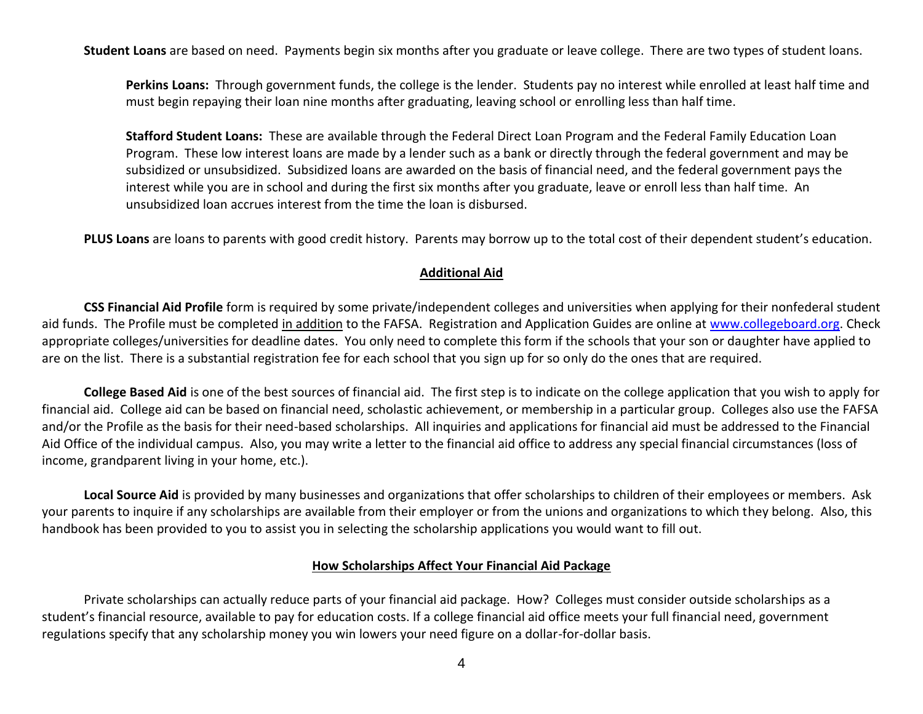**Student Loans** are based on need. Payments begin six months after you graduate or leave college. There are two types of student loans.

**Perkins Loans:** Through government funds, the college is the lender. Students pay no interest while enrolled at least half time and must begin repaying their loan nine months after graduating, leaving school or enrolling less than half time.

**Stafford Student Loans:** These are available through the Federal Direct Loan Program and the Federal Family Education Loan Program. These low interest loans are made by a lender such as a bank or directly through the federal government and may be subsidized or unsubsidized. Subsidized loans are awarded on the basis of financial need, and the federal government pays the interest while you are in school and during the first six months after you graduate, leave or enroll less than half time. An unsubsidized loan accrues interest from the time the loan is disbursed.

**PLUS Loans** are loans to parents with good credit history. Parents may borrow up to the total cost of their dependent student's education.

#### **Additional Aid**

**CSS Financial Aid Profile** form is required by some private/independent colleges and universities when applying for their nonfederal student aid funds. The Profile must be completed in addition to the FAFSA. Registration and Application Guides are online at [www.collegeboard.org.](http://www.collegeboard.org/) Check appropriate colleges/universities for deadline dates. You only need to complete this form if the schools that your son or daughter have applied to are on the list. There is a substantial registration fee for each school that you sign up for so only do the ones that are required.

**College Based Aid** is one of the best sources of financial aid. The first step is to indicate on the college application that you wish to apply for financial aid. College aid can be based on financial need, scholastic achievement, or membership in a particular group. Colleges also use the FAFSA and/or the Profile as the basis for their need-based scholarships. All inquiries and applications for financial aid must be addressed to the Financial Aid Office of the individual campus. Also, you may write a letter to the financial aid office to address any special financial circumstances (loss of income, grandparent living in your home, etc.).

**Local Source Aid** is provided by many businesses and organizations that offer scholarships to children of their employees or members. Ask your parents to inquire if any scholarships are available from their employer or from the unions and organizations to which they belong. Also, this handbook has been provided to you to assist you in selecting the scholarship applications you would want to fill out.

#### **How Scholarships Affect Your Financial Aid Package**

Private scholarships can actually reduce parts of your financial aid package. How? Colleges must consider outside scholarships as a student's financial resource, available to pay for education costs. If a college financial aid office meets your full financial need, government regulations specify that any scholarship money you win lowers your need figure on a dollar-for-dollar basis.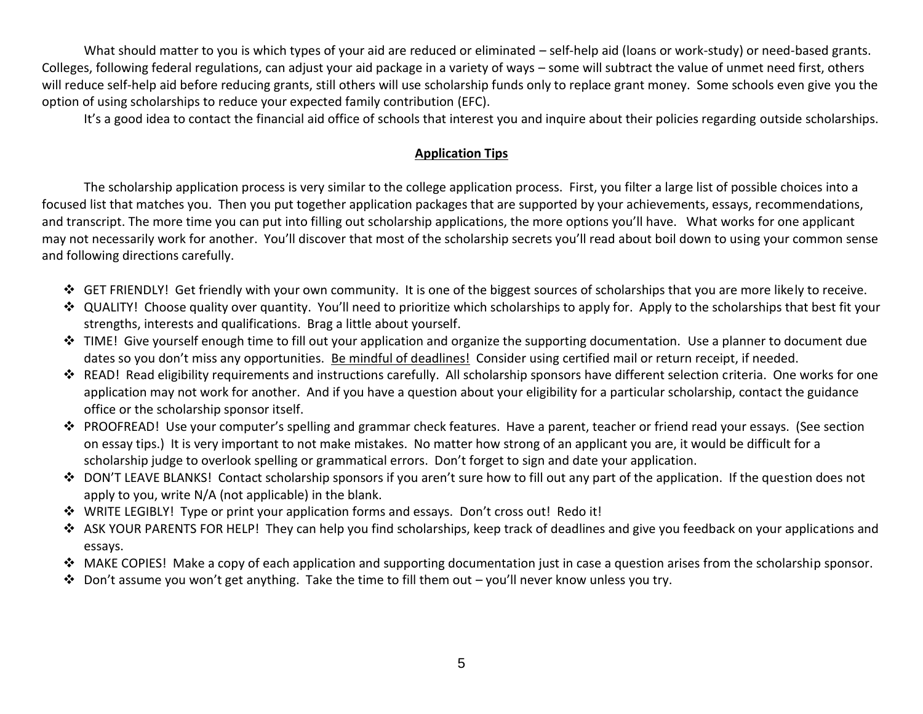What should matter to you is which types of your aid are reduced or eliminated – self-help aid (loans or work-study) or need-based grants. Colleges, following federal regulations, can adjust your aid package in a variety of ways – some will subtract the value of unmet need first, others will reduce self-help aid before reducing grants, still others will use scholarship funds only to replace grant money. Some schools even give you the option of using scholarships to reduce your expected family contribution (EFC).

It's a good idea to contact the financial aid office of schools that interest you and inquire about their policies regarding outside scholarships.

# **Application Tips**

The scholarship application process is very similar to the college application process. First, you filter a large list of possible choices into a focused list that matches you. Then you put together application packages that are supported by your achievements, essays, recommendations, and transcript. The more time you can put into filling out scholarship applications, the more options you'll have. What works for one applicant may not necessarily work for another. You'll discover that most of the scholarship secrets you'll read about boil down to using your common sense and following directions carefully.

- $\div$  GET FRIENDLY! Get friendly with your own community. It is one of the biggest sources of scholarships that you are more likely to receive.
- \* QUALITY! Choose quality over quantity. You'll need to prioritize which scholarships to apply for. Apply to the scholarships that best fit your strengths, interests and qualifications. Brag a little about yourself.
- $\cdot$  TIME! Give yourself enough time to fill out your application and organize the supporting documentation. Use a planner to document due dates so you don't miss any opportunities. Be mindful of deadlines! Consider using certified mail or return receipt, if needed.
- READ! Read eligibility requirements and instructions carefully. All scholarship sponsors have different selection criteria. One works for one application may not work for another. And if you have a question about your eligibility for a particular scholarship, contact the guidance office or the scholarship sponsor itself.
- ◆ PROOFREAD! Use your computer's spelling and grammar check features. Have a parent, teacher or friend read your essays. (See section on essay tips.) It is very important to not make mistakes. No matter how strong of an applicant you are, it would be difficult for a scholarship judge to overlook spelling or grammatical errors. Don't forget to sign and date your application.
- ◆ DON'T LEAVE BLANKS! Contact scholarship sponsors if you aren't sure how to fill out any part of the application. If the question does not apply to you, write N/A (not applicable) in the blank.
- WRITE LEGIBLY! Type or print your application forms and essays. Don't cross out! Redo it!
- ❖ ASK YOUR PARENTS FOR HELP! They can help you find scholarships, keep track of deadlines and give you feedback on your applications and essays.
- MAKE COPIES! Make a copy of each application and supporting documentation just in case a question arises from the scholarship sponsor.
- Don't assume you won't get anything. Take the time to fill them out you'll never know unless you try.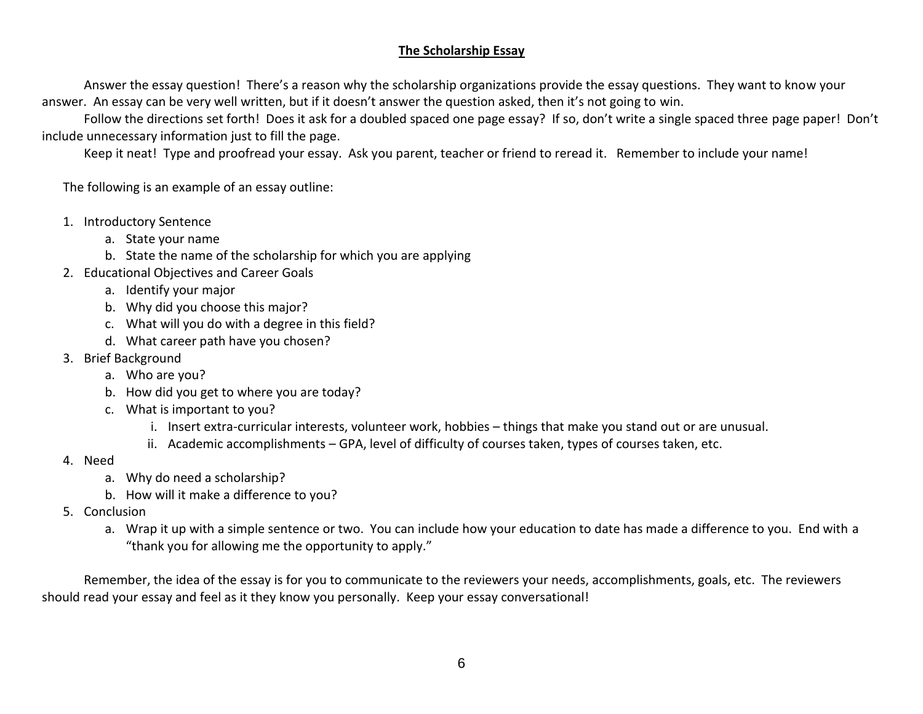# **The Scholarship Essay**

Answer the essay question! There's a reason why the scholarship organizations provide the essay questions. They want to know your answer. An essay can be very well written, but if it doesn't answer the question asked, then it's not going to win.

Follow the directions set forth! Does it ask for a doubled spaced one page essay? If so, don't write a single spaced three page paper! Don't include unnecessary information just to fill the page.

Keep it neat! Type and proofread your essay. Ask you parent, teacher or friend to reread it. Remember to include your name!

The following is an example of an essay outline:

- 1. Introductory Sentence
	- a. State your name
	- b. State the name of the scholarship for which you are applying
- 2. Educational Objectives and Career Goals
	- a. Identify your major
	- b. Why did you choose this major?
	- c. What will you do with a degree in this field?
	- d. What career path have you chosen?
- 3. Brief Background
	- a. Who are you?
	- b. How did you get to where you are today?
	- c. What is important to you?
		- i. Insert extra-curricular interests, volunteer work, hobbies things that make you stand out or are unusual.
		- ii. Academic accomplishments GPA, level of difficulty of courses taken, types of courses taken, etc.
- 4. Need
	- a. Why do need a scholarship?
	- b. How will it make a difference to you?
- 5. Conclusion
	- a. Wrap it up with a simple sentence or two. You can include how your education to date has made a difference to you. End with a "thank you for allowing me the opportunity to apply."

Remember, the idea of the essay is for you to communicate to the reviewers your needs, accomplishments, goals, etc. The reviewers should read your essay and feel as it they know you personally. Keep your essay conversational!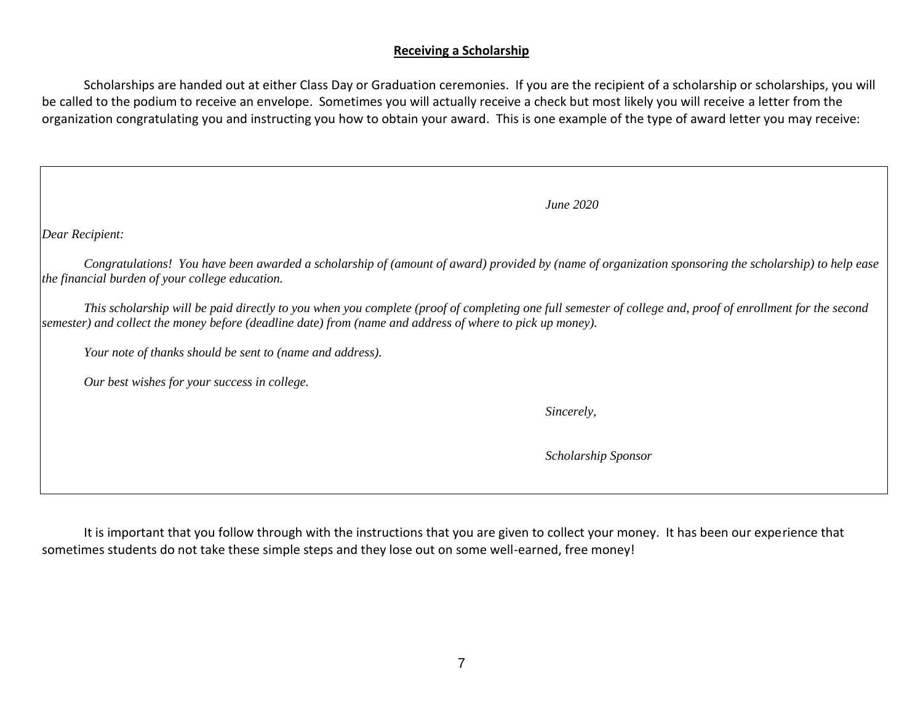### **Receiving a Scholarship**

Scholarships are handed out at either Class Day or Graduation ceremonies. If you are the recipient of a scholarship or scholarships, you will be called to the podium to receive an envelope. Sometimes you will actually receive a check but most likely you will receive a letter from the organization congratulating you and instructing you how to obtain your award. This is one example of the type of award letter you may receive:

*Dear Recipient:*

*Congratulations! You have been awarded a scholarship of (amount of award) provided by (name of organization sponsoring the scholarship) to help ease the financial burden of your college education.*

*This scholarship will be paid directly to you when you complete (proof of completing one full semester of college and, proof of enrollment for the second semester) and collect the money before (deadline date) from (name and address of where to pick up money).*

*Your note of thanks should be sent to (name and address).*

*Our best wishes for your success in college.*

*Sincerely,*

*June 2020*

*Scholarship Sponsor*

It is important that you follow through with the instructions that you are given to collect your money. It has been our experience that sometimes students do not take these simple steps and they lose out on some well-earned, free money!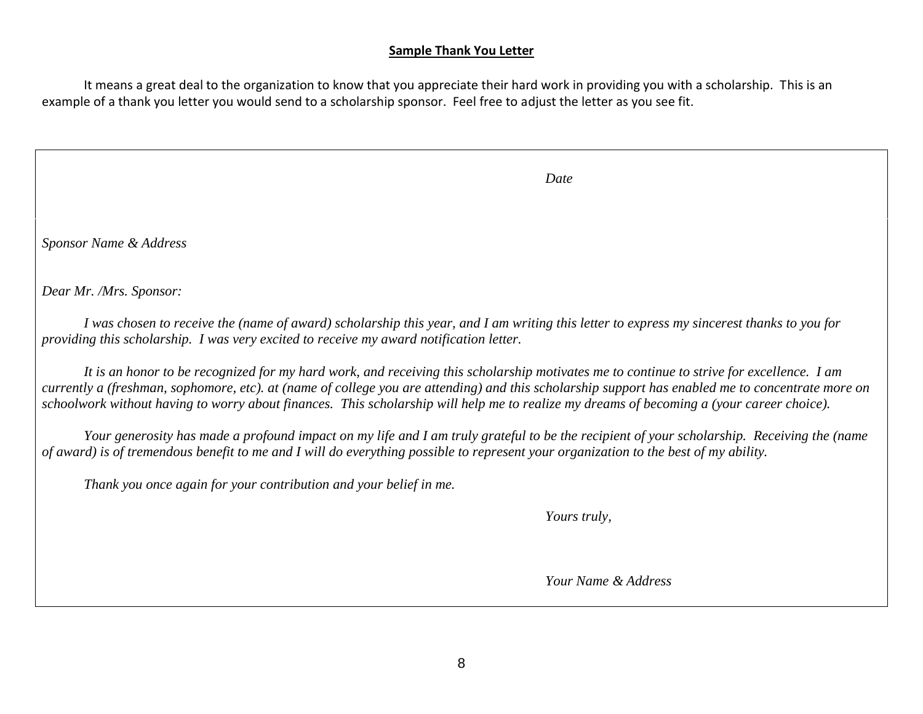### **Sample Thank You Letter**

It means a great deal to the organization to know that you appreciate their hard work in providing you with a scholarship. This is an example of a thank you letter you would send to a scholarship sponsor. Feel free to adjust the letter as you see fit.

|  | Date |
|--|------|
|--|------|

*Sponsor Name & Address*

*Dear Mr. /Mrs. Sponsor:*

*I was chosen to receive the (name of award) scholarship this year, and I am writing this letter to express my sincerest thanks to you for providing this scholarship. I was very excited to receive my award notification letter.*

*It is an honor to be recognized for my hard work, and receiving this scholarship motivates me to continue to strive for excellence. I am currently a (freshman, sophomore, etc). at (name of college you are attending) and this scholarship support has enabled me to concentrate more on schoolwork without having to worry about finances. This scholarship will help me to realize my dreams of becoming a (your career choice).*

*Your generosity has made a profound impact on my life and I am truly grateful to be the recipient of your scholarship. Receiving the (name of award) is of tremendous benefit to me and I will do everything possible to represent your organization to the best of my ability.*

*Thank you once again for your contribution and your belief in me.*

*Yours truly,*

*Your Name & Address*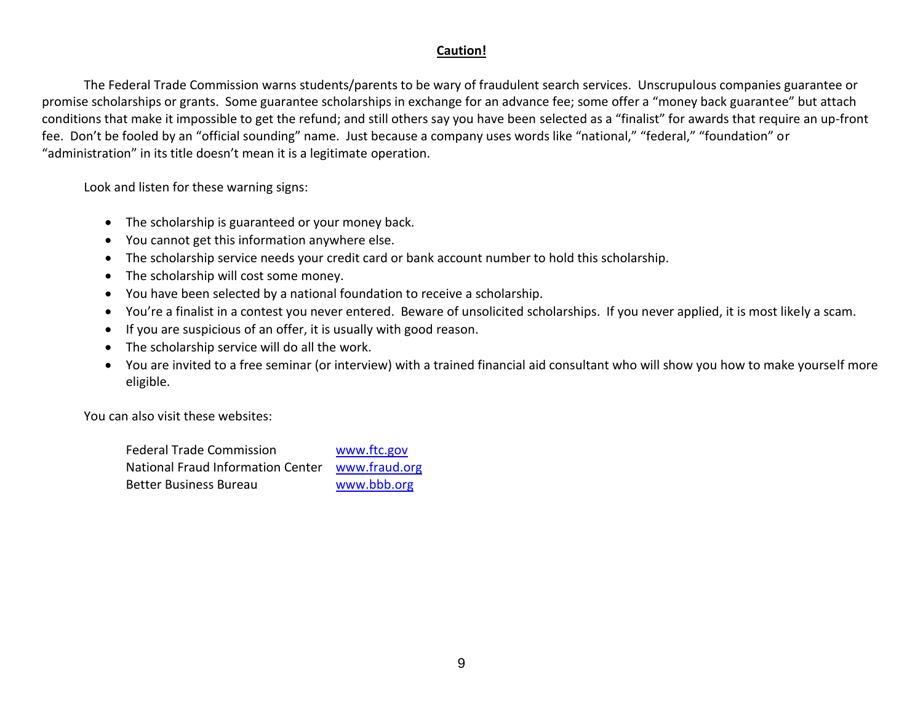# **Caution!**

The Federal Trade Commission warns students/parents to be wary of fraudulent search services. Unscrupulous companies guarantee or promise scholarships or grants. Some guarantee scholarships in exchange for an advance fee; some offer a "money back guarantee" but attach conditions that make it impossible to get the refund; and still others say you have been selected as a "finalist" for awards that require an up-front fee. Don't be fooled by an "official sounding" name. Just because a company uses words like "national," "federal," "foundation" or "administration" in its title doesn't mean it is a legitimate operation.

Look and listen for these warning signs:

- The scholarship is guaranteed or your money back.
- You cannot get this information anywhere else.
- The scholarship service needs your credit card or bank account number to hold this scholarship.
- The scholarship will cost some money.
- You have been selected by a national foundation to receive a scholarship.
- You're a finalist in a contest you never entered. Beware of unsolicited scholarships. If you never applied, it is most likely a scam.
- If you are suspicious of an offer, it is usually with good reason.
- The scholarship service will do all the work.
- You are invited to a free seminar (or interview) with a trained financial aid consultant who will show you how to make yourself more eligible.

You can also visit these websites:

| Federal Trade Commission          | www.ftc.gov   |
|-----------------------------------|---------------|
| National Fraud Information Center | www.fraud.org |
| Better Business Bureau            | www.bbb.org   |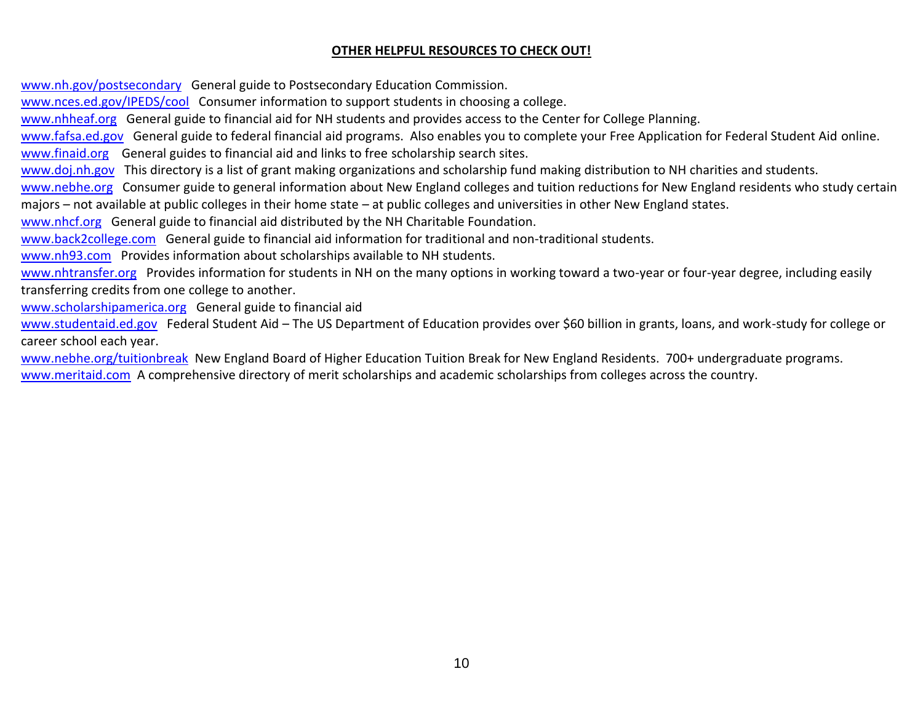## **OTHER HELPFUL RESOURCES TO CHECK OUT!**

[www.nh.gov/postsecondary](http://www.nh.gov/postsecondary) General guide to Postsecondary Education Commission.

[www.nces.ed.gov/IPEDS/cool](http://www.nces.ed.gov/IPEDS/cool) Consumer information to support students in choosing a college.

[www.nhheaf.org](http://www.nhheaf.org/) General guide to financial aid for NH students and provides access to the Center for College Planning.

[www.fafsa.ed.gov](http://www.fafsa.ed.gov/) General guide to federal financial aid programs. Also enables you to complete your Free Application for Federal Student Aid online.

[www.finaid.org](http://www.finaid.org/) General guides to financial aid and links to free scholarship search sites.

[www.doj.nh.gov](http://www.doj.nh.gov/) This directory is a list of grant making organizations and scholarship fund making distribution to NH charities and students.

[www.nebhe.org](http://www.nebhe.org/) Consumer guide to general information about New England colleges and tuition reductions for New England residents who study certain majors – not available at public colleges in their home state – at public colleges and universities in other New England states.

[www.nhcf.org](http://www.nhcf.org/) General guide to financial aid distributed by the NH Charitable Foundation.

[www.back2college.com](http://www.back2college.com/) General guide to financial aid information for traditional and non-traditional students.

[www.nh93.com](http://www.nh93.com/) Provides information about scholarships available to NH students.

[www.nhtransfer.org](http://www.nhtransfer.org/) Provides information for students in NH on the many options in working toward a two-year or four-year degree, including easily transferring credits from one college to another.

[www.scholarshipamerica.org](http://www.scholarshipamerica.org/) General guide to financial aid

[www.studentaid.ed.gov](http://www.studentaid.ed.gov/) Federal Student Aid - The US Department of Education provides over \$60 billion in grants, loans, and work-study for college or career school each year.

[www.nebhe.org/tuitionbreak](http://www.nebhe.org/tuitionbreak) New England Board of Higher Education Tuition Break for New England Residents. 700+ undergraduate programs. [www.meritaid.com](http://www.meritaid.com/) A comprehensive directory of merit scholarships and academic scholarships from colleges across the country.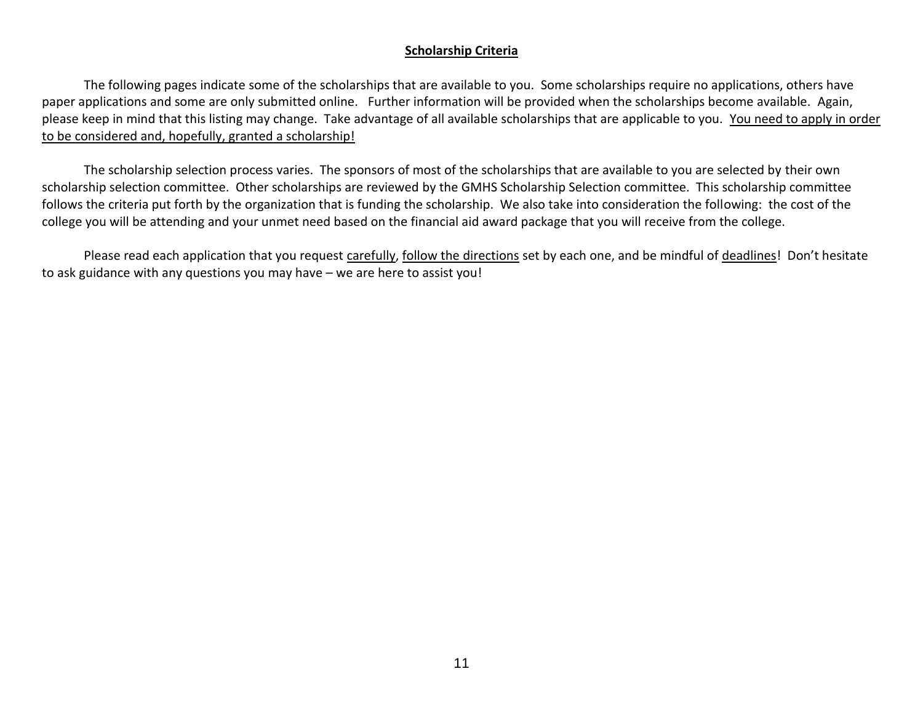## **Scholarship Criteria**

The following pages indicate some of the scholarships that are available to you. Some scholarships require no applications, others have paper applications and some are only submitted online. Further information will be provided when the scholarships become available. Again, please keep in mind that this listing may change. Take advantage of all available scholarships that are applicable to you. You need to apply in order to be considered and, hopefully, granted a scholarship!

The scholarship selection process varies. The sponsors of most of the scholarships that are available to you are selected by their own scholarship selection committee. Other scholarships are reviewed by the GMHS Scholarship Selection committee. This scholarship committee follows the criteria put forth by the organization that is funding the scholarship. We also take into consideration the following: the cost of the college you will be attending and your unmet need based on the financial aid award package that you will receive from the college.

Please read each application that you request carefully, follow the directions set by each one, and be mindful of deadlines! Don't hesitate to ask guidance with any questions you may have – we are here to assist you!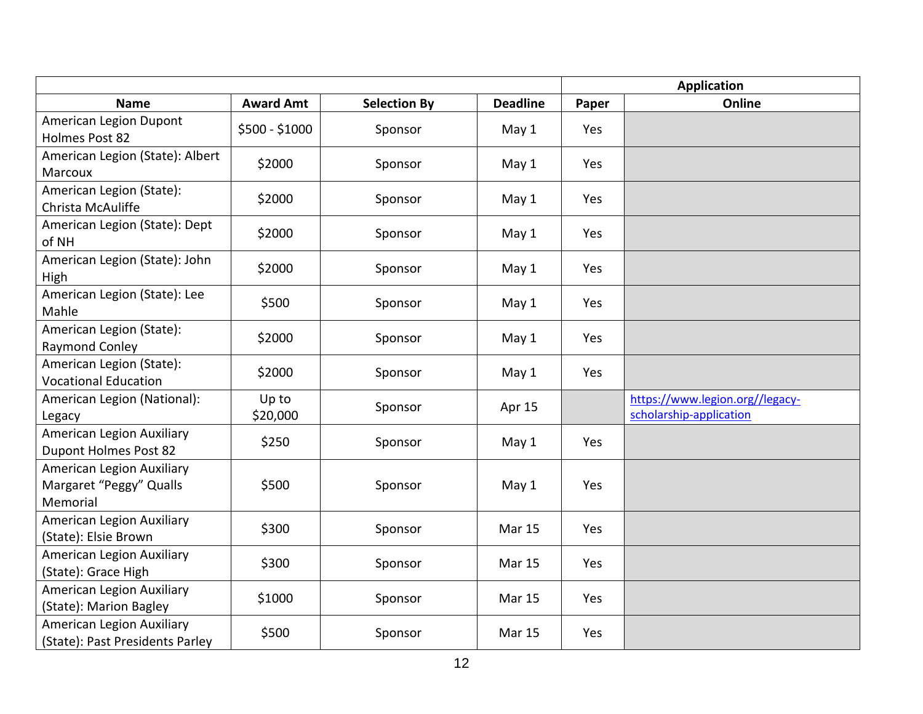|                                                                  |                   |                     |                 | <b>Application</b> |                                                            |  |
|------------------------------------------------------------------|-------------------|---------------------|-----------------|--------------------|------------------------------------------------------------|--|
| <b>Name</b>                                                      | <b>Award Amt</b>  | <b>Selection By</b> | <b>Deadline</b> | Paper              | Online                                                     |  |
| American Legion Dupont<br>Holmes Post 82                         | \$500 - \$1000    | Sponsor             | May 1           | Yes                |                                                            |  |
| American Legion (State): Albert<br>Marcoux                       | \$2000            | Sponsor             | May 1           | Yes                |                                                            |  |
| American Legion (State):<br>Christa McAuliffe                    | \$2000            | Sponsor             | May 1           | Yes                |                                                            |  |
| American Legion (State): Dept<br>of NH                           | \$2000            | Sponsor             | May 1           | Yes                |                                                            |  |
| American Legion (State): John<br>High                            | \$2000            | Sponsor             | May 1           | Yes                |                                                            |  |
| American Legion (State): Lee<br>Mahle                            | \$500             | Sponsor             | May 1           | Yes                |                                                            |  |
| American Legion (State):<br>Raymond Conley                       | \$2000            | Sponsor             | May 1           | Yes                |                                                            |  |
| American Legion (State):<br><b>Vocational Education</b>          | \$2000            | Sponsor             | May 1           | Yes                |                                                            |  |
| American Legion (National):<br>Legacy                            | Up to<br>\$20,000 | Sponsor             | Apr 15          |                    | https://www.legion.org//legacy-<br>scholarship-application |  |
| American Legion Auxiliary<br><b>Dupont Holmes Post 82</b>        | \$250             | Sponsor             | May 1           | Yes                |                                                            |  |
| American Legion Auxiliary<br>Margaret "Peggy" Qualls<br>Memorial | \$500             | Sponsor             | May 1           | Yes                |                                                            |  |
| American Legion Auxiliary<br>(State): Elsie Brown                | \$300             | Sponsor             | Mar 15          | Yes                |                                                            |  |
| American Legion Auxiliary<br>(State): Grace High                 | \$300             | Sponsor             | Mar 15          | Yes                |                                                            |  |
| American Legion Auxiliary<br>(State): Marion Bagley              | \$1000            | Sponsor             | <b>Mar 15</b>   | Yes                |                                                            |  |
| American Legion Auxiliary<br>(State): Past Presidents Parley     | \$500             | Sponsor             | <b>Mar 15</b>   | Yes                |                                                            |  |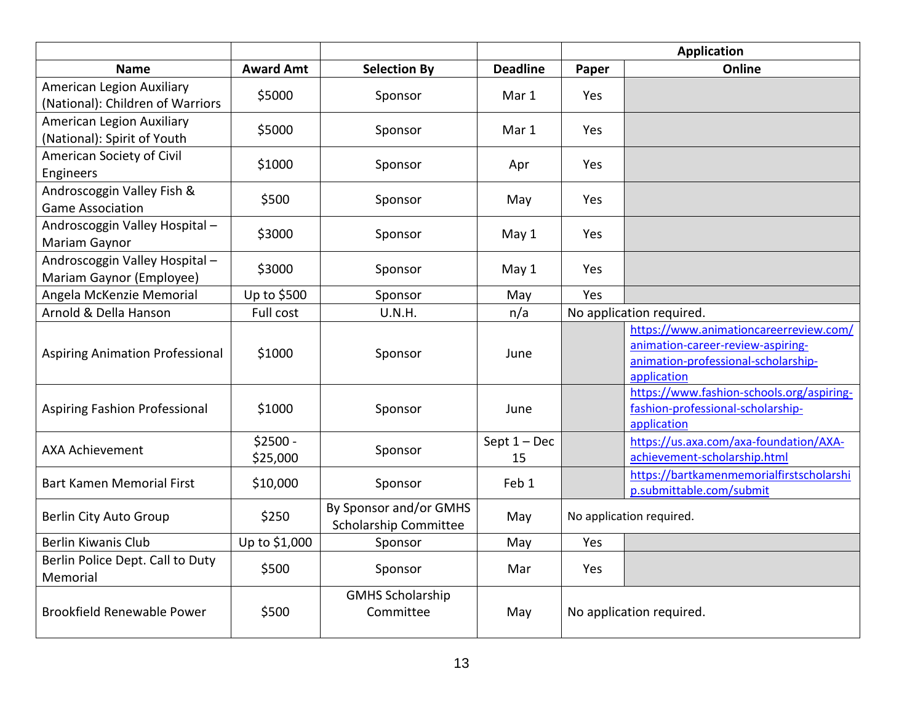|                                                               |                       |                                                 |                      | <b>Application</b> |                                                                                                                                   |
|---------------------------------------------------------------|-----------------------|-------------------------------------------------|----------------------|--------------------|-----------------------------------------------------------------------------------------------------------------------------------|
| <b>Name</b>                                                   | <b>Award Amt</b>      | <b>Selection By</b>                             | <b>Deadline</b>      | Paper              | Online                                                                                                                            |
| American Legion Auxiliary<br>(National): Children of Warriors | \$5000                | Sponsor                                         | Mar 1                | Yes                |                                                                                                                                   |
| American Legion Auxiliary<br>(National): Spirit of Youth      | \$5000                | Sponsor                                         | Mar 1                | Yes.               |                                                                                                                                   |
| American Society of Civil<br>Engineers                        | \$1000                | Sponsor                                         | Apr                  | Yes.               |                                                                                                                                   |
| Androscoggin Valley Fish &<br><b>Game Association</b>         | \$500                 | Sponsor                                         | May                  | Yes.               |                                                                                                                                   |
| Androscoggin Valley Hospital -<br>Mariam Gaynor               | \$3000                | Sponsor                                         | May 1                | Yes.               |                                                                                                                                   |
| Androscoggin Valley Hospital-<br>Mariam Gaynor (Employee)     | \$3000                | Sponsor                                         | May 1                | Yes                |                                                                                                                                   |
| Angela McKenzie Memorial                                      | Up to \$500           | Sponsor                                         | May                  | Yes                |                                                                                                                                   |
| Arnold & Della Hanson                                         | Full cost             | U.N.H.                                          | n/a                  |                    | No application required.                                                                                                          |
| <b>Aspiring Animation Professional</b>                        | \$1000                | Sponsor                                         | June                 |                    | https://www.animationcareerreview.com/<br>animation-career-review-aspiring-<br>animation-professional-scholarship-<br>application |
| Aspiring Fashion Professional                                 | \$1000                | Sponsor                                         | June                 |                    | https://www.fashion-schools.org/aspiring-<br>fashion-professional-scholarship-<br>application                                     |
| <b>AXA Achievement</b>                                        | $$2500 -$<br>\$25,000 | Sponsor                                         | Sept $1 - Dec$<br>15 |                    | https://us.axa.com/axa-foundation/AXA-<br>achievement-scholarship.html                                                            |
| <b>Bart Kamen Memorial First</b>                              | \$10,000              | Sponsor                                         | Feb 1                |                    | https://bartkamenmemorialfirstscholarshi<br>p.submittable.com/submit                                                              |
| Berlin City Auto Group                                        | \$250                 | By Sponsor and/or GMHS<br>Scholarship Committee | May                  |                    | No application required.                                                                                                          |
| <b>Berlin Kiwanis Club</b>                                    | Up to \$1,000         | Sponsor                                         | May                  | Yes                |                                                                                                                                   |
| Berlin Police Dept. Call to Duty<br>Memorial                  | \$500                 | Sponsor                                         | Mar                  | Yes                |                                                                                                                                   |
| Brookfield Renewable Power                                    | \$500                 | <b>GMHS Scholarship</b><br>Committee            | May                  |                    | No application required.                                                                                                          |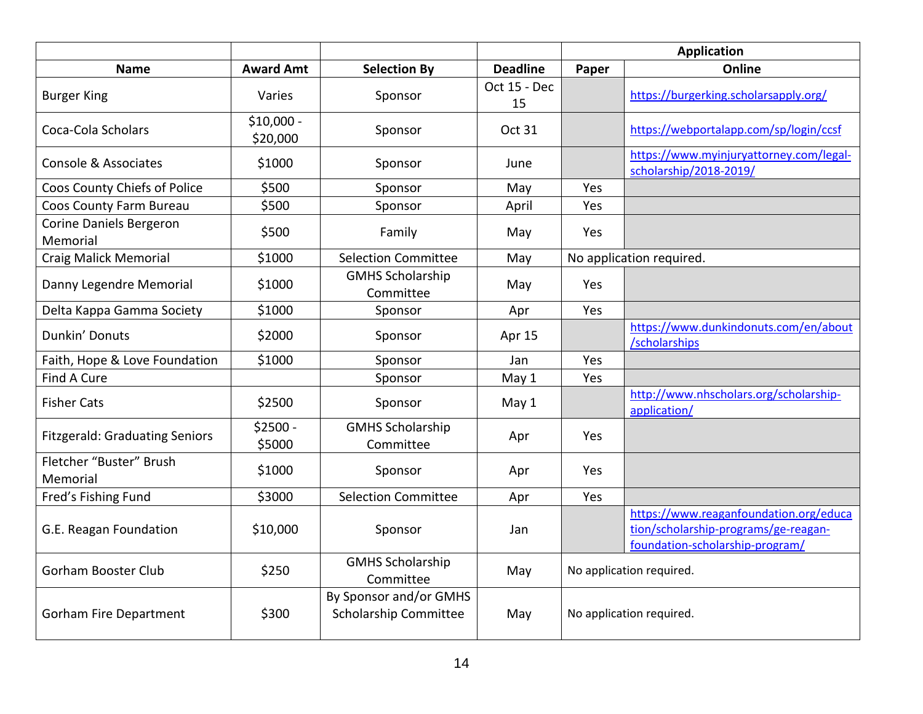|                                       |                         |                                                 |                    |       | <b>Application</b>                                                                                                |
|---------------------------------------|-------------------------|-------------------------------------------------|--------------------|-------|-------------------------------------------------------------------------------------------------------------------|
| <b>Name</b>                           | <b>Award Amt</b>        | <b>Selection By</b>                             | <b>Deadline</b>    | Paper | Online                                                                                                            |
| <b>Burger King</b>                    | Varies                  | Sponsor                                         | Oct 15 - Dec<br>15 |       | https://burgerking.scholarsapply.org/                                                                             |
| Coca-Cola Scholars                    | $$10,000 -$<br>\$20,000 | Sponsor                                         | <b>Oct 31</b>      |       | https://webportalapp.com/sp/login/ccsf                                                                            |
| Console & Associates                  | \$1000                  | Sponsor                                         | June               |       | https://www.myinjuryattorney.com/legal-<br>scholarship/2018-2019/                                                 |
| Coos County Chiefs of Police          | \$500                   | Sponsor                                         | May                | Yes   |                                                                                                                   |
| Coos County Farm Bureau               | \$500                   | Sponsor                                         | April              | Yes   |                                                                                                                   |
| Corine Daniels Bergeron<br>Memorial   | \$500                   | Family                                          | May                | Yes.  |                                                                                                                   |
| <b>Craig Malick Memorial</b>          | \$1000                  | <b>Selection Committee</b>                      | May                |       | No application required.                                                                                          |
| Danny Legendre Memorial               | \$1000                  | <b>GMHS Scholarship</b><br>Committee            | May                | Yes   |                                                                                                                   |
| Delta Kappa Gamma Society             | \$1000                  | Sponsor                                         | Apr                | Yes   |                                                                                                                   |
| Dunkin' Donuts                        | \$2000                  | Sponsor                                         | Apr 15             |       | https://www.dunkindonuts.com/en/about<br>/scholarships                                                            |
| Faith, Hope & Love Foundation         | \$1000                  | Sponsor                                         | Jan                | Yes   |                                                                                                                   |
| Find A Cure                           |                         | Sponsor                                         | May 1              | Yes   |                                                                                                                   |
| <b>Fisher Cats</b>                    | \$2500                  | Sponsor                                         | May 1              |       | http://www.nhscholars.org/scholarship-<br>application/                                                            |
| <b>Fitzgerald: Graduating Seniors</b> | $$2500 -$<br>\$5000     | <b>GMHS Scholarship</b><br>Committee            | Apr                | Yes   |                                                                                                                   |
| Fletcher "Buster" Brush<br>Memorial   | \$1000                  | Sponsor                                         | Apr                | Yes   |                                                                                                                   |
| Fred's Fishing Fund                   | \$3000                  | <b>Selection Committee</b>                      | Apr                | Yes   |                                                                                                                   |
| G.E. Reagan Foundation                | \$10,000                | Sponsor                                         | Jan                |       | https://www.reaganfoundation.org/educa<br>tion/scholarship-programs/ge-reagan-<br>foundation-scholarship-program/ |
| <b>Gorham Booster Club</b>            | \$250                   | <b>GMHS Scholarship</b><br>Committee            | May                |       | No application required.                                                                                          |
| <b>Gorham Fire Department</b>         | \$300                   | By Sponsor and/or GMHS<br>Scholarship Committee | May                |       | No application required.                                                                                          |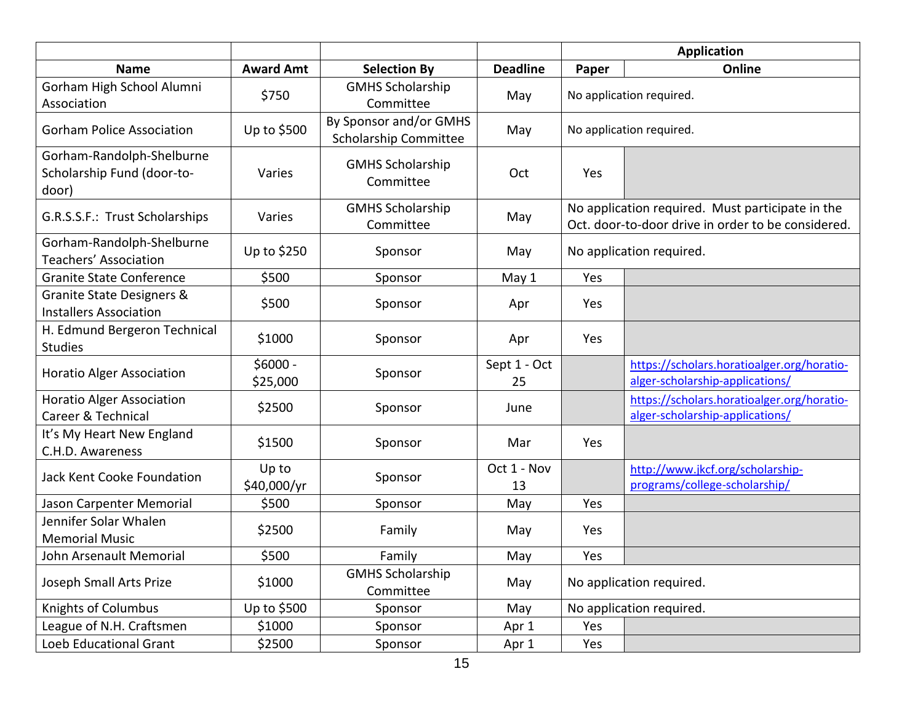|                                                                  |                       |                                                 |                    | <b>Application</b> |                                                                                                        |  |
|------------------------------------------------------------------|-----------------------|-------------------------------------------------|--------------------|--------------------|--------------------------------------------------------------------------------------------------------|--|
| <b>Name</b>                                                      | <b>Award Amt</b>      | <b>Selection By</b>                             | <b>Deadline</b>    | Paper              | Online                                                                                                 |  |
| Gorham High School Alumni<br>Association                         | \$750                 | <b>GMHS Scholarship</b><br>Committee            | May                |                    | No application required.                                                                               |  |
| <b>Gorham Police Association</b>                                 | Up to \$500           | By Sponsor and/or GMHS<br>Scholarship Committee | May                |                    | No application required.                                                                               |  |
| Gorham-Randolph-Shelburne<br>Scholarship Fund (door-to-<br>door) | Varies                | <b>GMHS Scholarship</b><br>Committee            | Oct                | Yes                |                                                                                                        |  |
| G.R.S.S.F.: Trust Scholarships                                   | Varies                | <b>GMHS Scholarship</b><br>Committee            | May                |                    | No application required. Must participate in the<br>Oct. door-to-door drive in order to be considered. |  |
| Gorham-Randolph-Shelburne<br>Teachers' Association               | Up to \$250           | Sponsor                                         | May                |                    | No application required.                                                                               |  |
| <b>Granite State Conference</b>                                  | \$500                 | Sponsor                                         | May 1              | Yes                |                                                                                                        |  |
| Granite State Designers &<br><b>Installers Association</b>       | \$500                 | Sponsor                                         | Apr                | Yes                |                                                                                                        |  |
| H. Edmund Bergeron Technical<br><b>Studies</b>                   | \$1000                | Sponsor                                         | Apr                | Yes                |                                                                                                        |  |
| <b>Horatio Alger Association</b>                                 | $$6000 -$<br>\$25,000 | Sponsor                                         | Sept 1 - Oct<br>25 |                    | https://scholars.horatioalger.org/horatio-<br>alger-scholarship-applications/                          |  |
| <b>Horatio Alger Association</b><br>Career & Technical           | \$2500                | Sponsor                                         | June               |                    | https://scholars.horatioalger.org/horatio-<br>alger-scholarship-applications/                          |  |
| It's My Heart New England<br>C.H.D. Awareness                    | \$1500                | Sponsor                                         | Mar                | Yes                |                                                                                                        |  |
| Jack Kent Cooke Foundation                                       | Up to<br>\$40,000/yr  | Sponsor                                         | Oct 1 - Nov<br>13  |                    | http://www.jkcf.org/scholarship-<br>programs/college-scholarship/                                      |  |
| Jason Carpenter Memorial                                         | \$500                 | Sponsor                                         | May                | Yes                |                                                                                                        |  |
| Jennifer Solar Whalen<br><b>Memorial Music</b>                   | \$2500                | Family                                          | May                | Yes                |                                                                                                        |  |
| John Arsenault Memorial                                          | \$500                 | Family                                          | May                | Yes                |                                                                                                        |  |
| Joseph Small Arts Prize                                          | \$1000                | <b>GMHS Scholarship</b><br>Committee            | May                |                    | No application required.                                                                               |  |
| <b>Knights of Columbus</b>                                       | Up to \$500           | Sponsor                                         | May                |                    | No application required.                                                                               |  |
| League of N.H. Craftsmen                                         | \$1000                | Sponsor                                         | Apr 1              | Yes                |                                                                                                        |  |
| Loeb Educational Grant                                           | \$2500                | Sponsor                                         | Apr 1              | Yes                |                                                                                                        |  |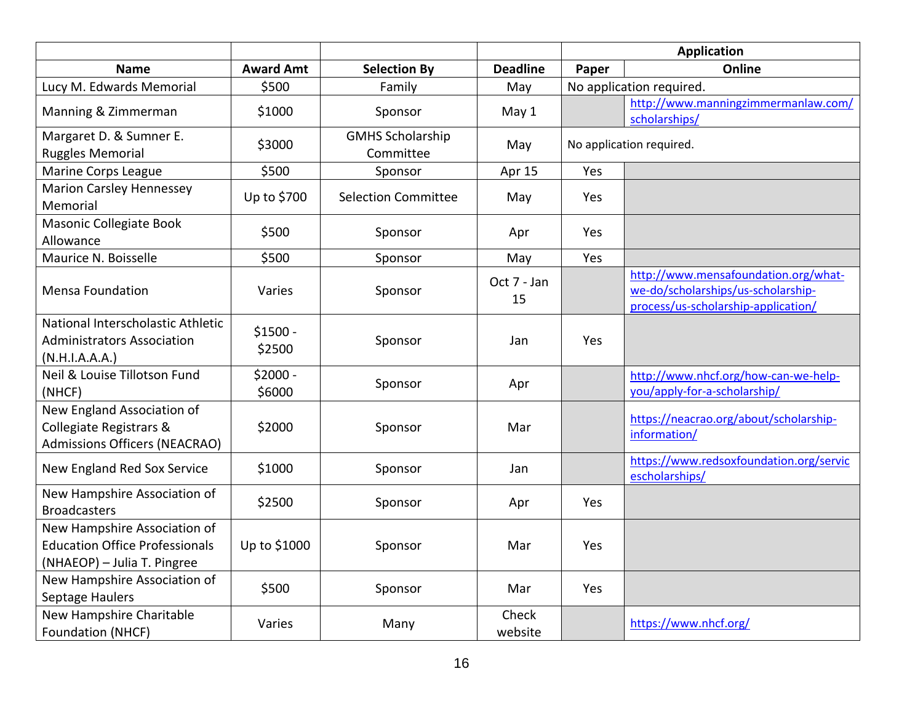|                                                                                                      |                     |                                      |                   | <b>Application</b> |                                                                                                                   |  |
|------------------------------------------------------------------------------------------------------|---------------------|--------------------------------------|-------------------|--------------------|-------------------------------------------------------------------------------------------------------------------|--|
| <b>Name</b>                                                                                          | <b>Award Amt</b>    | <b>Selection By</b>                  | <b>Deadline</b>   | Paper              | Online                                                                                                            |  |
| Lucy M. Edwards Memorial                                                                             | \$500               | Family                               | May               |                    | No application required.                                                                                          |  |
| Manning & Zimmerman                                                                                  | \$1000              | Sponsor                              | May 1             |                    | http://www.manningzimmermanlaw.com/<br>scholarships/                                                              |  |
| Margaret D. & Sumner E.<br><b>Ruggles Memorial</b>                                                   | \$3000              | <b>GMHS Scholarship</b><br>Committee | May               |                    | No application required.                                                                                          |  |
| Marine Corps League                                                                                  | \$500               | Sponsor                              | Apr 15            | Yes                |                                                                                                                   |  |
| <b>Marion Carsley Hennessey</b><br>Memorial                                                          | Up to \$700         | <b>Selection Committee</b>           | May               | Yes                |                                                                                                                   |  |
| Masonic Collegiate Book<br>Allowance                                                                 | \$500               | Sponsor                              | Apr               | Yes                |                                                                                                                   |  |
| Maurice N. Boisselle                                                                                 | \$500               | Sponsor                              | May               | Yes                |                                                                                                                   |  |
| <b>Mensa Foundation</b>                                                                              | Varies              | Sponsor                              | Oct 7 - Jan<br>15 |                    | http://www.mensafoundation.org/what-<br>we-do/scholarships/us-scholarship-<br>process/us-scholarship-application/ |  |
| National Interscholastic Athletic<br><b>Administrators Association</b><br>(N.H.I.A.A.A.)             | $$1500 -$<br>\$2500 | Sponsor                              | Jan               | Yes                |                                                                                                                   |  |
| Neil & Louise Tillotson Fund<br>(NHCF)                                                               | $$2000 -$<br>\$6000 | Sponsor                              | Apr               |                    | http://www.nhcf.org/how-can-we-help-<br>you/apply-for-a-scholarship/                                              |  |
| New England Association of<br>Collegiate Registrars &<br><b>Admissions Officers (NEACRAO)</b>        | \$2000              | Sponsor                              | Mar               |                    | https://neacrao.org/about/scholarship-<br>information/                                                            |  |
| New England Red Sox Service                                                                          | \$1000              | Sponsor                              | Jan               |                    | https://www.redsoxfoundation.org/servic<br>escholarships/                                                         |  |
| New Hampshire Association of<br><b>Broadcasters</b>                                                  | \$2500              | Sponsor                              | Apr               | Yes                |                                                                                                                   |  |
| New Hampshire Association of<br><b>Education Office Professionals</b><br>(NHAEOP) - Julia T. Pingree | Up to \$1000        | Sponsor                              | Mar               | Yes                |                                                                                                                   |  |
| New Hampshire Association of<br>Septage Haulers                                                      | \$500               | Sponsor                              | Mar               | Yes                |                                                                                                                   |  |
| New Hampshire Charitable<br>Foundation (NHCF)                                                        | Varies              | Many                                 | Check<br>website  |                    | https://www.nhcf.org/                                                                                             |  |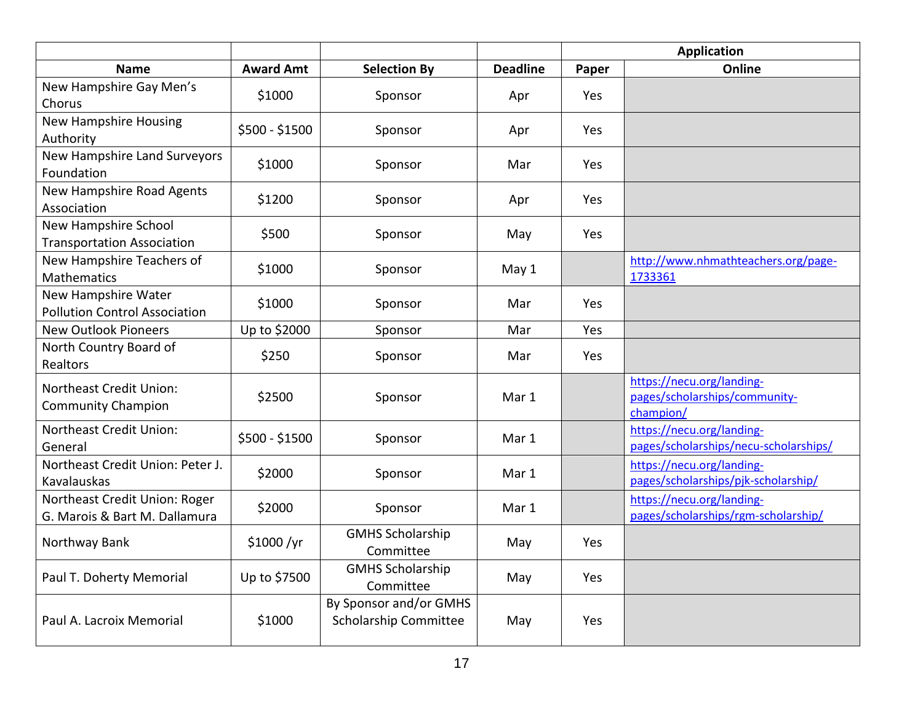|                                          |                  |                              |                 |            | <b>Application</b>                         |
|------------------------------------------|------------------|------------------------------|-----------------|------------|--------------------------------------------|
| <b>Name</b>                              | <b>Award Amt</b> | <b>Selection By</b>          | <b>Deadline</b> | Paper      | Online                                     |
| New Hampshire Gay Men's                  | \$1000           | Sponsor                      | Apr             | <b>Yes</b> |                                            |
| Chorus                                   |                  |                              |                 |            |                                            |
| <b>New Hampshire Housing</b>             | \$500 - \$1500   | Sponsor                      | Apr             | Yes        |                                            |
| Authority                                |                  |                              |                 |            |                                            |
| New Hampshire Land Surveyors             | \$1000           | Sponsor                      | Mar             | Yes        |                                            |
| Foundation                               |                  |                              |                 |            |                                            |
| New Hampshire Road Agents<br>Association | \$1200           | Sponsor                      | Apr             | Yes        |                                            |
| New Hampshire School                     |                  |                              |                 |            |                                            |
| <b>Transportation Association</b>        | \$500            | Sponsor                      | May             | Yes        |                                            |
| New Hampshire Teachers of                |                  |                              |                 |            | http://www.nhmathteachers.org/page-        |
| <b>Mathematics</b>                       | \$1000           | Sponsor                      | May 1           |            | 1733361                                    |
| New Hampshire Water                      |                  |                              |                 |            |                                            |
| <b>Pollution Control Association</b>     | \$1000           | Sponsor                      | Mar             | Yes        |                                            |
| <b>New Outlook Pioneers</b>              | Up to \$2000     | Sponsor                      | Mar             | Yes        |                                            |
| North Country Board of                   | \$250            |                              | Mar             | <b>Yes</b> |                                            |
| Realtors                                 |                  | Sponsor                      |                 |            |                                            |
| Northeast Credit Union:                  |                  |                              |                 |            | https://necu.org/landing-                  |
| <b>Community Champion</b>                | \$2500           | Sponsor                      | Mar 1           |            | pages/scholarships/community-<br>champion/ |
| <b>Northeast Credit Union:</b>           |                  |                              |                 |            | https://necu.org/landing-                  |
| General                                  | \$500 - \$1500   | Sponsor                      | Mar 1           |            | pages/scholarships/necu-scholarships/      |
| Northeast Credit Union: Peter J.         |                  |                              |                 |            | https://necu.org/landing-                  |
| Kavalauskas                              | \$2000           | Sponsor                      | Mar 1           |            | pages/scholarships/pjk-scholarship/        |
| Northeast Credit Union: Roger            |                  |                              |                 |            | https://necu.org/landing-                  |
| G. Marois & Bart M. Dallamura            | \$2000           | Sponsor                      | Mar 1           |            | pages/scholarships/rgm-scholarship/        |
| Northway Bank                            | \$1000/yr        | <b>GMHS Scholarship</b>      |                 | Yes        |                                            |
|                                          |                  | Committee                    | May             |            |                                            |
| Paul T. Doherty Memorial                 | Up to \$7500     | <b>GMHS Scholarship</b>      | May             | Yes        |                                            |
|                                          |                  | Committee                    |                 |            |                                            |
|                                          |                  | By Sponsor and/or GMHS       |                 |            |                                            |
| Paul A. Lacroix Memorial                 | \$1000           | <b>Scholarship Committee</b> | May             | Yes        |                                            |
|                                          |                  |                              |                 |            |                                            |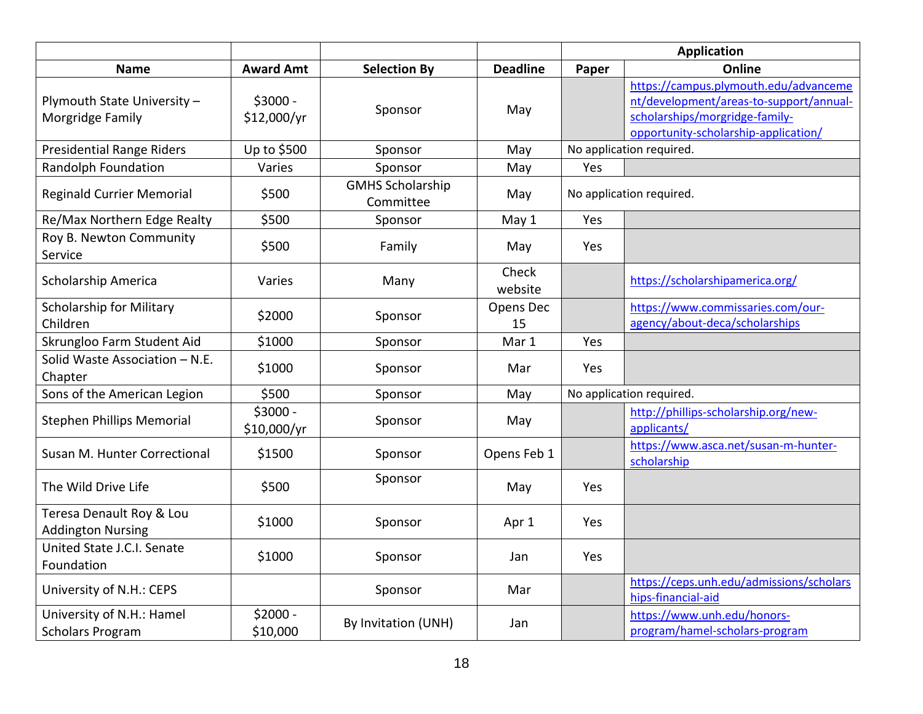|                                                      |                          |                                      |                  | <b>Application</b> |                                                                                                                                                            |  |
|------------------------------------------------------|--------------------------|--------------------------------------|------------------|--------------------|------------------------------------------------------------------------------------------------------------------------------------------------------------|--|
| <b>Name</b>                                          | <b>Award Amt</b>         | <b>Selection By</b>                  | <b>Deadline</b>  | Paper              | Online                                                                                                                                                     |  |
| Plymouth State University -<br>Morgridge Family      | $$3000 -$<br>\$12,000/yr | Sponsor                              | May              |                    | https://campus.plymouth.edu/advanceme<br>nt/development/areas-to-support/annual-<br>scholarships/morgridge-family-<br>opportunity-scholarship-application/ |  |
| <b>Presidential Range Riders</b>                     | Up to \$500              | Sponsor                              | May              |                    | No application required.                                                                                                                                   |  |
| Randolph Foundation                                  | Varies                   | Sponsor                              | May              | Yes                |                                                                                                                                                            |  |
| <b>Reginald Currier Memorial</b>                     | \$500                    | <b>GMHS Scholarship</b><br>Committee | May              |                    | No application required.                                                                                                                                   |  |
| Re/Max Northern Edge Realty                          | \$500                    | Sponsor                              | May 1            | Yes                |                                                                                                                                                            |  |
| Roy B. Newton Community<br>Service                   | \$500                    | Family                               | May              | Yes                |                                                                                                                                                            |  |
| Scholarship America                                  | Varies                   | Many                                 | Check<br>website |                    | https://scholarshipamerica.org/                                                                                                                            |  |
| <b>Scholarship for Military</b><br>Children          | \$2000                   | Sponsor                              | Opens Dec<br>15  |                    | https://www.commissaries.com/our-<br>agency/about-deca/scholarships                                                                                        |  |
| Skrungloo Farm Student Aid                           | \$1000                   | Sponsor                              | Mar 1            | Yes                |                                                                                                                                                            |  |
| Solid Waste Association - N.E.<br>Chapter            | \$1000                   | Sponsor                              | Mar              | Yes                |                                                                                                                                                            |  |
| Sons of the American Legion                          | \$500                    | Sponsor                              | May              |                    | No application required.                                                                                                                                   |  |
| <b>Stephen Phillips Memorial</b>                     | $$3000 -$<br>\$10,000/yr | Sponsor                              | May              |                    | http://phillips-scholarship.org/new-<br>applicants/                                                                                                        |  |
| Susan M. Hunter Correctional                         | \$1500                   | Sponsor                              | Opens Feb 1      |                    | https://www.asca.net/susan-m-hunter-<br>scholarship                                                                                                        |  |
| The Wild Drive Life                                  | \$500                    | Sponsor                              | May              | Yes                |                                                                                                                                                            |  |
| Teresa Denault Roy & Lou<br><b>Addington Nursing</b> | \$1000                   | Sponsor                              | Apr 1            | Yes                |                                                                                                                                                            |  |
| United State J.C.I. Senate<br>Foundation             | \$1000                   | Sponsor                              | Jan              | Yes                |                                                                                                                                                            |  |
| University of N.H.: CEPS                             |                          | Sponsor                              | Mar              |                    | https://ceps.unh.edu/admissions/scholars<br>hips-financial-aid                                                                                             |  |
| University of N.H.: Hamel<br><b>Scholars Program</b> | $$2000 -$<br>\$10,000    | By Invitation (UNH)                  | Jan              |                    | https://www.unh.edu/honors-<br>program/hamel-scholars-program                                                                                              |  |